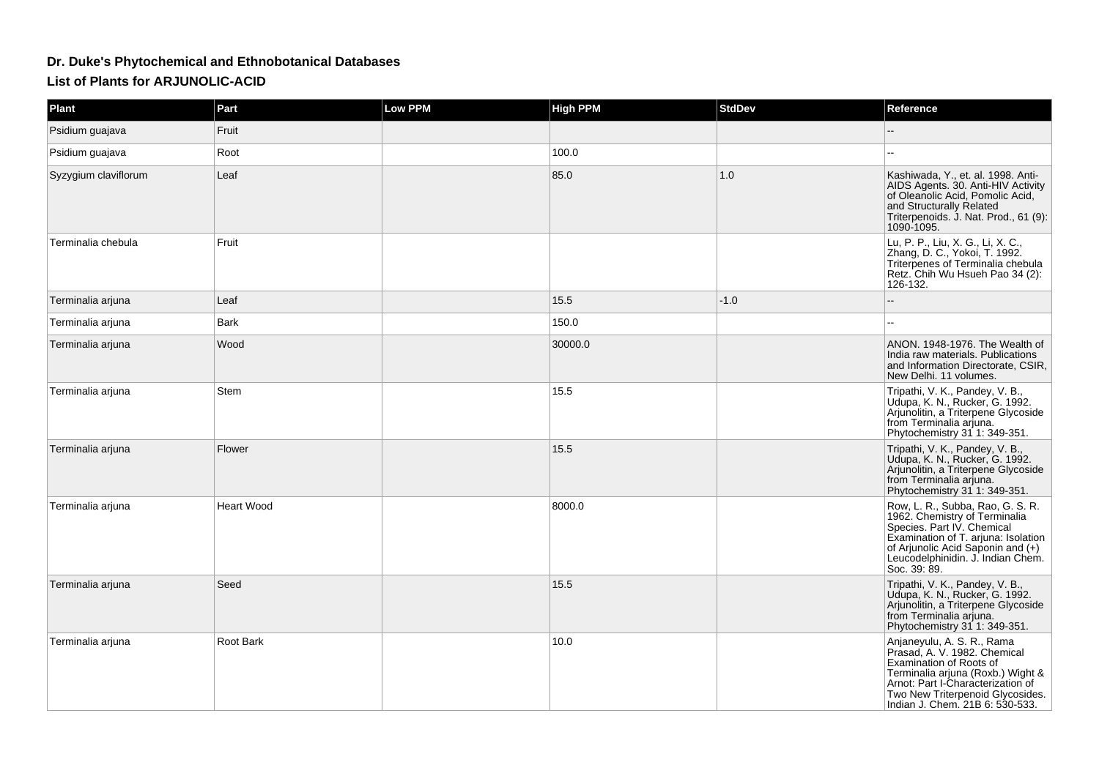## **Dr. Duke's Phytochemical and Ethnobotanical DatabasesList of Plants for ARJUNOLIC-ACID**

| <b>Plant</b>         | Part              | <b>Low PPM</b> | <b>High PPM</b> | <b>StdDev</b> | Reference                                                                                                                                                                                                                              |
|----------------------|-------------------|----------------|-----------------|---------------|----------------------------------------------------------------------------------------------------------------------------------------------------------------------------------------------------------------------------------------|
| Psidium guajava      | Fruit             |                |                 |               |                                                                                                                                                                                                                                        |
| Psidium quajava      | Root              |                | 100.0           |               |                                                                                                                                                                                                                                        |
| Syzygium claviflorum | Leaf              |                | 85.0            | 1.0           | Kashiwada, Y., et. al. 1998. Anti-<br>AIDS Agents. 30. Anti-HIV Activity<br>of Oleanolic Acid, Pomolic Acid,<br>and Structurally Related<br>Triterpenoids. J. Nat. Prod., 61 (9):<br>1090-1095.                                        |
| Terminalia chebula   | Fruit             |                |                 |               | Lu, P. P., Liu, X. G., Li, X. C.,<br>Zhang, D. C., Yokoi, T. 1992.<br>Triterpenes of Terminalia chebula<br>Retz. Chih Wu Hsueh Pao 34 (2):<br>126-132.                                                                                 |
| Terminalia arjuna    | Leaf              |                | 15.5            | $-1.0$        |                                                                                                                                                                                                                                        |
| Terminalia ariuna    | Bark              |                | 150.0           |               |                                                                                                                                                                                                                                        |
| Terminalia arjuna    | Wood              |                | 30000.0         |               | ANON. 1948-1976. The Wealth of<br>India raw materials. Publications<br>and Information Directorate, CSIR,<br>New Delhi. 11 volumes.                                                                                                    |
| Terminalia arjuna    | Stem              |                | 15.5            |               | Tripathi, V. K., Pandey, V. B.,<br>Udupa, K. N., Rucker, G. 1992.<br>Arjunolitin, a Triterpene Glycoside<br>from Terminalia ariuna.<br>Phytochemistry 31 1: 349-351.                                                                   |
| Terminalia arjuna    | Flower            |                | 15.5            |               | Tripathi, V. K., Pandey, V. B.,<br>Udupa, K. N., Rucker, G. 1992.<br>Arjunolitin, a Triterpene Glycoside<br>from Terminalia arjuna.<br>Phytochemistry 31 1: 349-351.                                                                   |
| Terminalia ariuna    | <b>Heart Wood</b> |                | 8000.0          |               | Row, L. R., Subba, Rao, G. S. R.<br>1962. Chemistry of Terminalia<br>Species. Part IV. Chemical<br>Examination of T. arjuna: Isolation<br>of Arjunolic Acid Saponin and $(+)$<br>Leucodelphinidin. J. Indian Chem.<br>Soc. 39: 89.     |
| Terminalia arjuna    | Seed              |                | 15.5            |               | Tripathi, V. K., Pandey, V. B.,<br>Udupa, K. N., Rucker, G. 1992.<br>Arjunolitin, a Triterpene Glycoside<br>from Terminalia ariuna.<br>Phytochemistry 31 1: 349-351.                                                                   |
| Terminalia arjuna    | Root Bark         |                | 10.0            |               | Anjaneyulu, A. S. R., Rama<br>Prasad, A. V. 1982. Chemical<br>Examination of Roots of<br>Terminalia arjuna (Roxb.) Wight &<br>Arnot: Part I-Characterization of<br>Two New Triterpenoid Glycosides.<br>Indian J. Chem. 21B 6: 530-533. |